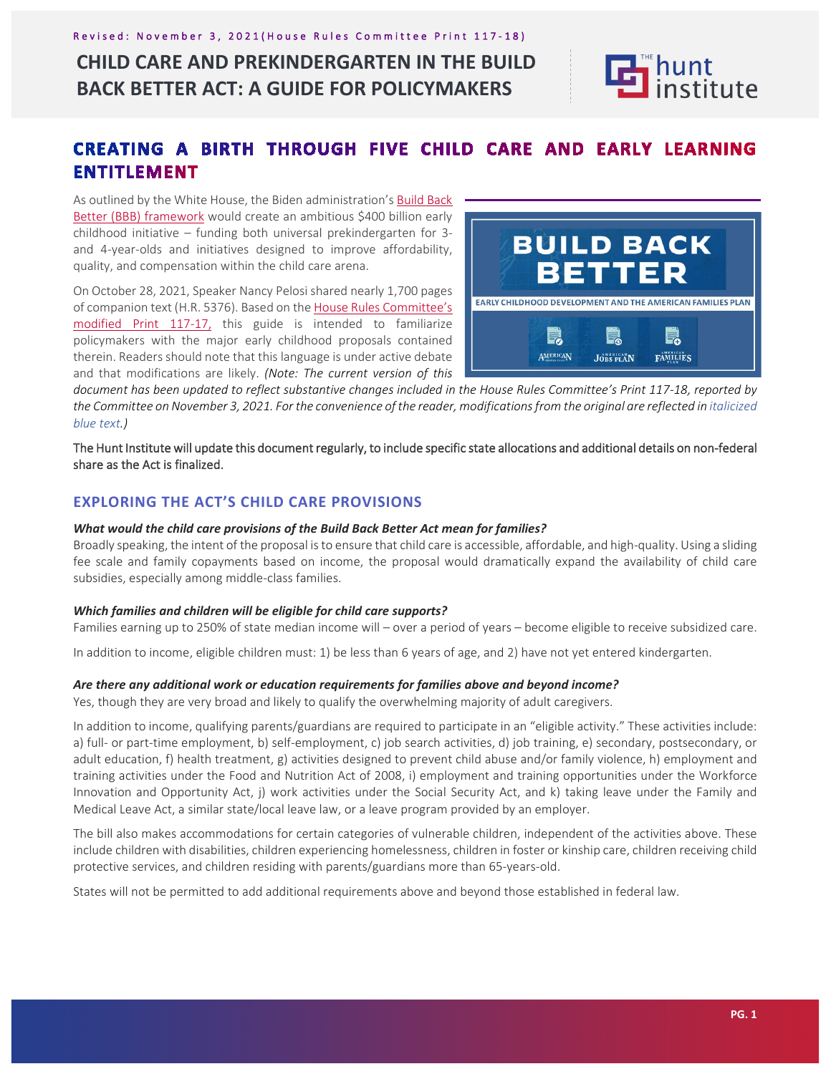## Revised: November 3, 2021 (House Rules Committee Print 117-18)

## **CHILD CARE AND PREKINDERGARTEN IN THE BUILD BACK BETTER ACT: A GUIDE FOR POLICYMAKERS**



## CREATING A BIRTH THROUGH FIVE CHILD CARE AND EARLY LEARNING **ENTITLEMENT**

As outlined by the White House, the Biden administration's Build Back Better (BBB) framework would create an ambitious \$400 billion early childhood initiative – funding both universal prekindergarten for 3 and 4-year-olds and initiatives designed to improve affordability, quality, and compensation within the child care arena.

On October 28, 2021, Speaker Nancy Pelosi shared nearly 1,700 pages of companion text (H.R. 5376). Based on the House Rules Committee's modified Print 117-17, this guide is intended to familiarize policymakers with the major early childhood proposals contained therein. Readers should note that this language is under active debate and that modifications are likely. *(Note: The current version of this* 



*document has been updated to reflect substantive changes included in the House Rules Committee's Print 117-18, reported by the Committee on November 3, 2021. For the convenience of the reader, modifications from the original are reflected in italicized blue text.)*

The Hunt Institute will update this document regularly, to include specific state allocations and additional details on non-federal share as the Act is finalized.

## **EXPLORING THE ACT'S CHILD CARE PROVISIONS**

## *What would the child care provisions of the Build Back Better Act mean for families?*

Broadly speaking, the intent of the proposal is to ensure that child care is accessible, affordable, and high-quality. Using a sliding fee scale and family copayments based on income, the proposal would dramatically expand the availability of child care subsidies, especially among middle-class families.

## *Which families and children will be eligible for child care supports?*

Families earning up to 250% of state median income will – over a period of years – become eligible to receive subsidized care.

In addition to income, eligible children must: 1) be less than 6 years of age, and 2) have not yet entered kindergarten.

## *Are there any additional work or education requirements for families above and beyond income?*

Yes, though they are very broad and likely to qualify the overwhelming majority of adult caregivers.

In addition to income, qualifying parents/guardians are required to participate in an "eligible activity." These activities include: a) full- or part-time employment, b) self-employment, c) job search activities, d) job training, e) secondary, postsecondary, or adult education, f) health treatment, g) activities designed to prevent child abuse and/or family violence, h) employment and training activities under the Food and Nutrition Act of 2008, i) employment and training opportunities under the Workforce Innovation and Opportunity Act, j) work activities under the Social Security Act, and k) taking leave under the Family and Medical Leave Act, a similar state/local leave law, or a leave program provided by an employer.

The bill also makes accommodations for certain categories of vulnerable children, independent of the activities above. These include children with disabilities, children experiencing homelessness, children in foster or kinship care, children receiving child protective services, and children residing with parents/guardians more than 65-years-old.

States will not be permitted to add additional requirements above and beyond those established in federal law.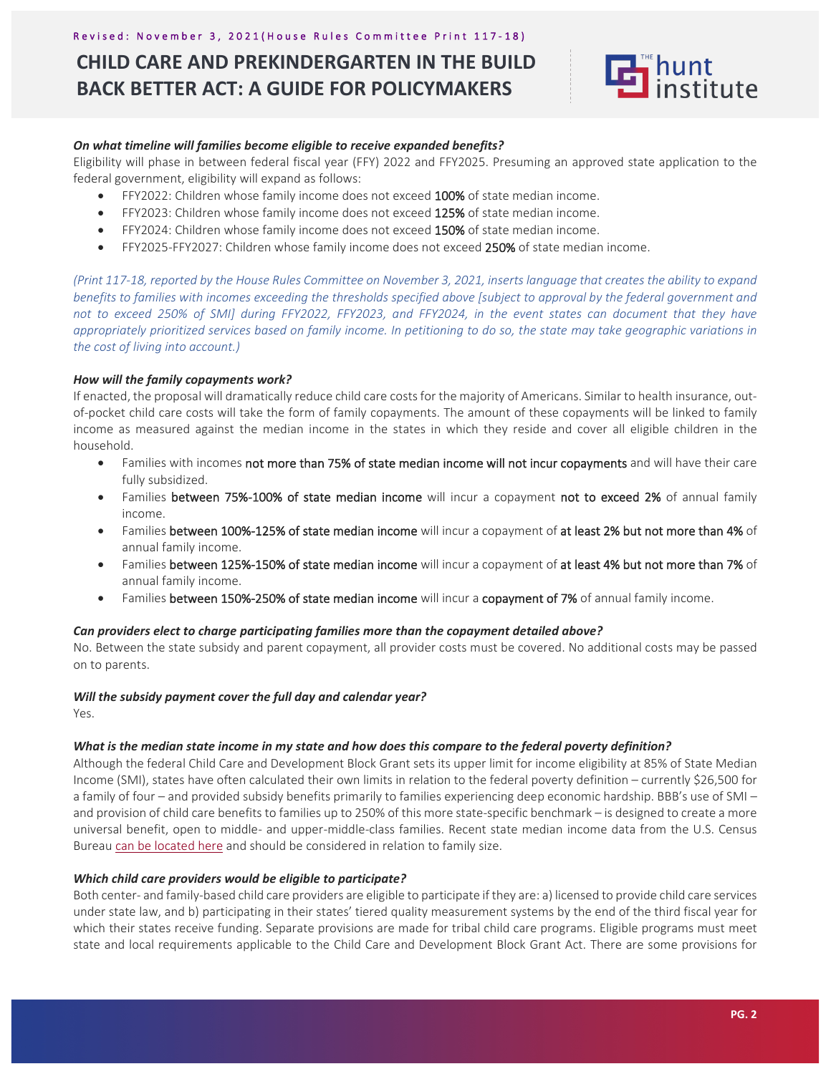# **CHILD CARE AND PREKINDERGARTEN IN THE BUILD BACK BETTER ACT: A GUIDE FOR POLICYMAKERS**



## *On what timeline will families become eligible to receive expanded benefits?*

Eligibility will phase in between federal fiscal year (FFY) 2022 and FFY2025. Presuming an approved state application to the federal government, eligibility will expand as follows:

- FFY2022: Children whose family income does not exceed 100% of state median income.
- FFY2023: Children whose family income does not exceed 125% of state median income.
- FFY2024: Children whose family income does not exceed 150% of state median income.
- FFY2025-FFY2027: Children whose family income does not exceed 250% of state median income.

*(Print 117-18, reported by the House Rules Committee on November 3, 2021, inserts language that creates the ability to expand benefits to families with incomes exceeding the thresholds specified above [subject to approval by the federal government and not to exceed 250% of SMI] during FFY2022, FFY2023, and FFY2024, in the event states can document that they have appropriately prioritized services based on family income. In petitioning to do so, the state may take geographic variations in the cost of living into account.)*

## *How will the family copayments work?*

If enacted, the proposal will dramatically reduce child care costs for the majority of Americans. Similar to health insurance, outof-pocket child care costs will take the form of family copayments. The amount of these copayments will be linked to family income as measured against the median income in the states in which they reside and cover all eligible children in the household.

- Families with incomes not more than 75% of state median income will not incur copayments and will have their care fully subsidized.
- Families between 75%-100% of state median income will incur a copayment not to exceed 2% of annual family income.
- Families between 100%-125% of state median income will incur a copayment of at least 2% but not more than 4% of annual family income.
- Families between 125%-150% of state median income will incur a copayment of at least 4% but not more than 7% of annual family income.
- Families between 150%-250% of state median income will incur a copayment of 7% of annual family income.

## *Can providers elect to charge participating families more than the copayment detailed above?*

No. Between the state subsidy and parent copayment, all provider costs must be covered. No additional costs may be passed on to parents.

## *Will the subsidy payment cover the full day and calendar year?*

Yes.

## *What is the median state income in my state and how does this compare to the federal poverty definition?*

Although the federal Child Care and Development Block Grant sets its upper limit for income eligibility at 85% of State Median Income (SMI), states have often calculated their own limits in relation to the federal poverty definition – currently \$26,500 for a family of four – and provided subsidy benefits primarily to families experiencing deep economic hardship. BBB's use of SMI – and provision of child care benefits to families up to 250% of this more state-specific benchmark – is designed to create a more universal benefit, open to middle- and upper-middle-class families. Recent state median income data from the U.S. Census Bureau can be located here and should be considered in relation to family size.

## *Which child care providers would be eligible to participate?*

Both center- and family-based child care providers are eligible to participate if they are: a) licensed to provide child care services under state law, and b) participating in their states' tiered quality measurement systems by the end of the third fiscal year for which their states receive funding. Separate provisions are made for tribal child care programs. Eligible programs must meet state and local requirements applicable to the Child Care and Development Block Grant Act. There are some provisions for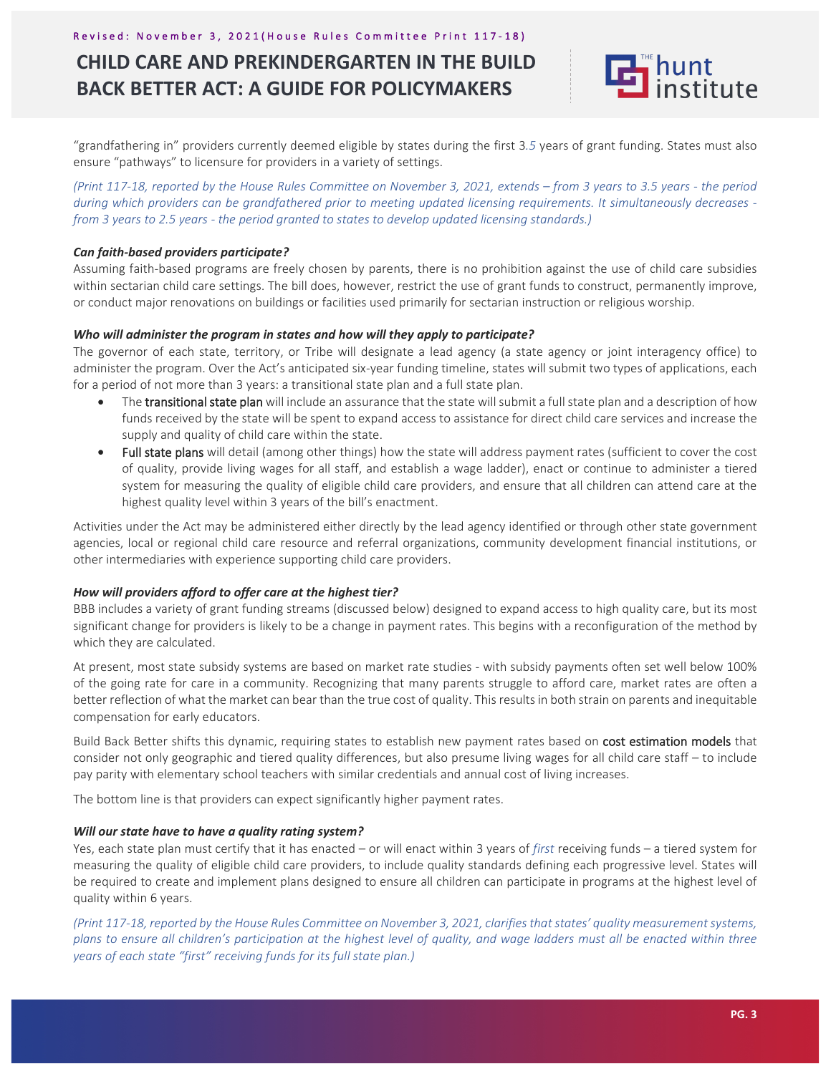# **CHILD CARE AND PREKINDERGARTEN IN THE BUILD BACK BETTER ACT: A GUIDE FOR POLICYMAKERS**



"grandfathering in" providers currently deemed eligible by states during the first 3*.5* years of grant funding. States must also ensure "pathways" to licensure for providers in a variety of settings.

*(Print 117-18, reported by the House Rules Committee on November 3, 2021, extends – from 3 years to 3.5 years - the period during which providers can be grandfathered prior to meeting updated licensing requirements. It simultaneously decreases from 3 years to 2.5 years - the period granted to states to develop updated licensing standards.)* 

## *Can faith-based providers participate?*

Assuming faith-based programs are freely chosen by parents, there is no prohibition against the use of child care subsidies within sectarian child care settings. The bill does, however, restrict the use of grant funds to construct, permanently improve, or conduct major renovations on buildings or facilities used primarily for sectarian instruction or religious worship.

#### *Who will administer the program in states and how will they apply to participate?*

The governor of each state, territory, or Tribe will designate a lead agency (a state agency or joint interagency office) to administer the program. Over the Act's anticipated six-year funding timeline, states will submit two types of applications, each for a period of not more than 3 years: a transitional state plan and a full state plan.

- The transitional state plan will include an assurance that the state will submit a full state plan and a description of how funds received by the state will be spent to expand access to assistance for direct child care services and increase the supply and quality of child care within the state.
- Full state plans will detail (among other things) how the state will address payment rates (sufficient to cover the cost of quality, provide living wages for all staff, and establish a wage ladder), enact or continue to administer a tiered system for measuring the quality of eligible child care providers, and ensure that all children can attend care at the highest quality level within 3 years of the bill's enactment.

Activities under the Act may be administered either directly by the lead agency identified or through other state government agencies, local or regional child care resource and referral organizations, community development financial institutions, or other intermediaries with experience supporting child care providers.

## *How will providers afford to offer care at the highest tier?*

BBB includes a variety of grant funding streams (discussed below) designed to expand access to high quality care, but its most significant change for providers is likely to be a change in payment rates. This begins with a reconfiguration of the method by which they are calculated.

At present, most state subsidy systems are based on market rate studies - with subsidy payments often set well below 100% of the going rate for care in a community. Recognizing that many parents struggle to afford care, market rates are often a better reflection of what the market can bear than the true cost of quality. This results in both strain on parents and inequitable compensation for early educators.

Build Back Better shifts this dynamic, requiring states to establish new payment rates based on cost estimation models that consider not only geographic and tiered quality differences, but also presume living wages for all child care staff – to include pay parity with elementary school teachers with similar credentials and annual cost of living increases.

The bottom line is that providers can expect significantly higher payment rates.

## *Will our state have to have a quality rating system?*

Yes, each state plan must certify that it has enacted – or will enact within 3 years of *first* receiving funds – a tiered system for measuring the quality of eligible child care providers, to include quality standards defining each progressive level. States will be required to create and implement plans designed to ensure all children can participate in programs at the highest level of quality within 6 years.

*(Print 117-18, reported by the House Rules Committee on November 3, 2021, clarifies that states' quality measurement systems, plans to ensure all children's participation at the highest level of quality, and wage ladders must all be enacted within three years of each state "first" receiving funds for its full state plan.)*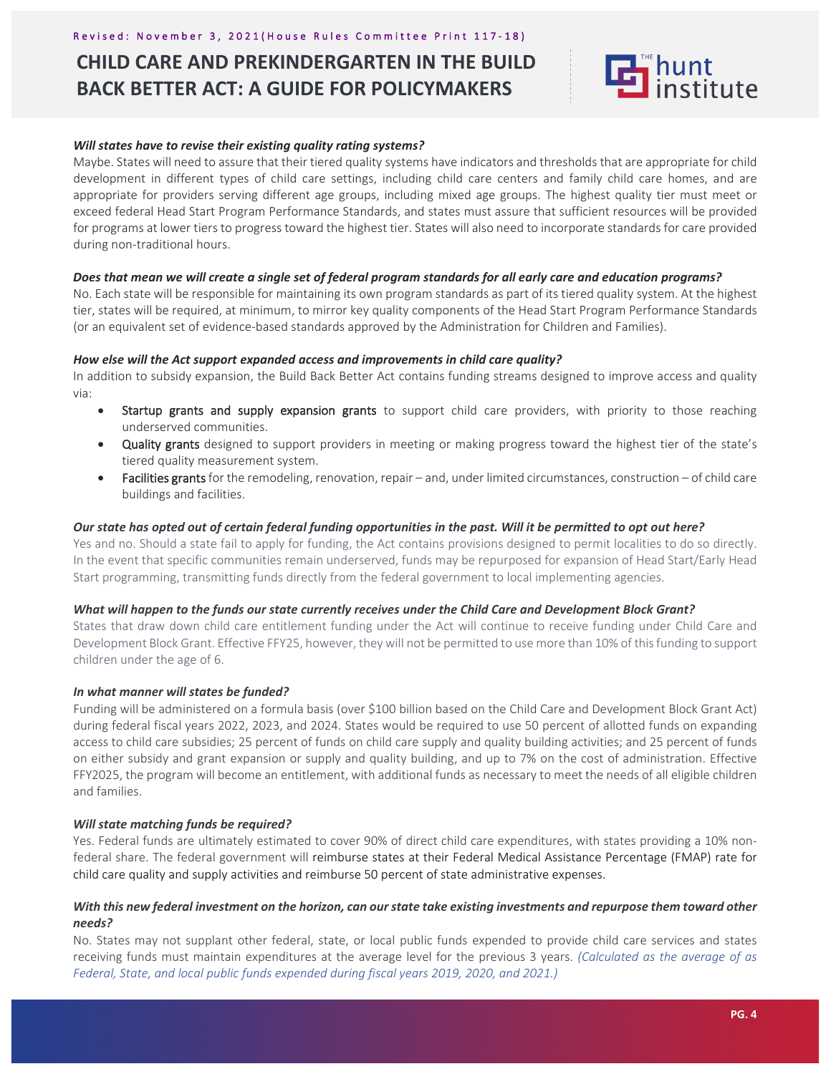#### Revised: November 3, 2021 (House Rules Committee Print 117-18)

## **CHILD CARE AND PREKINDERGARTEN IN THE BUILD BACK BETTER ACT: A GUIDE FOR POLICYMAKERS**



### *Will states have to revise their existing quality rating systems?*

Maybe. States will need to assure that their tiered quality systems have indicators and thresholds that are appropriate for child development in different types of child care settings, including child care centers and family child care homes, and are appropriate for providers serving different age groups, including mixed age groups. The highest quality tier must meet or exceed federal Head Start Program Performance Standards, and states must assure that sufficient resources will be provided for programs at lower tiers to progress toward the highest tier. States will also need to incorporate standards for care provided during non-traditional hours.

#### *Does that mean we will create a single set of federal program standards for all early care and education programs?*

No. Each state will be responsible for maintaining its own program standards as part of its tiered quality system. At the highest tier, states will be required, at minimum, to mirror key quality components of the Head Start Program Performance Standards (or an equivalent set of evidence-based standards approved by the Administration for Children and Families).

#### *How else will the Act support expanded access and improvements in child care quality?*

In addition to subsidy expansion, the Build Back Better Act contains funding streams designed to improve access and quality via:

- Startup grants and supply expansion grants to support child care providers, with priority to those reaching underserved communities.
- Quality grants designed to support providers in meeting or making progress toward the highest tier of the state's tiered quality measurement system.
- Facilities grants for the remodeling, renovation, repair and, under limited circumstances, construction of child care buildings and facilities.

#### *Our state has opted out of certain federal funding opportunities in the past. Will it be permitted to opt out here?*

Yes and no. Should a state fail to apply for funding, the Act contains provisions designed to permit localities to do so directly. In the event that specific communities remain underserved, funds may be repurposed for expansion of Head Start/Early Head Start programming, transmitting funds directly from the federal government to local implementing agencies.

## *What will happen to the funds our state currently receives under the Child Care and Development Block Grant?*

States that draw down child care entitlement funding under the Act will continue to receive funding under Child Care and Development Block Grant. Effective FFY25, however, they will not be permitted to use more than 10% of this funding to support children under the age of 6.

#### *In what manner will states be funded?*

Funding will be administered on a formula basis (over \$100 billion based on the Child Care and Development Block Grant Act) during federal fiscal years 2022, 2023, and 2024. States would be required to use 50 percent of allotted funds on expanding access to child care subsidies; 25 percent of funds on child care supply and quality building activities; and 25 percent of funds on either subsidy and grant expansion or supply and quality building, and up to 7% on the cost of administration. Effective FFY2025, the program will become an entitlement, with additional funds as necessary to meet the needs of all eligible children and families.

#### *Will state matching funds be required?*

Yes. Federal funds are ultimately estimated to cover 90% of direct child care expenditures, with states providing a 10% nonfederal share. The federal government will reimburse states at their Federal Medical Assistance Percentage (FMAP) rate for child care quality and supply activities and reimburse 50 percent of state administrative expenses.

## *With this new federal investment on the horizon, can our state take existing investments and repurpose them toward other needs?*

No. States may not supplant other federal, state, or local public funds expended to provide child care services and states receiving funds must maintain expenditures at the average level for the previous 3 years. *(Calculated as the average of as Federal, State, and local public funds expended during fiscal years 2019, 2020, and 2021.)*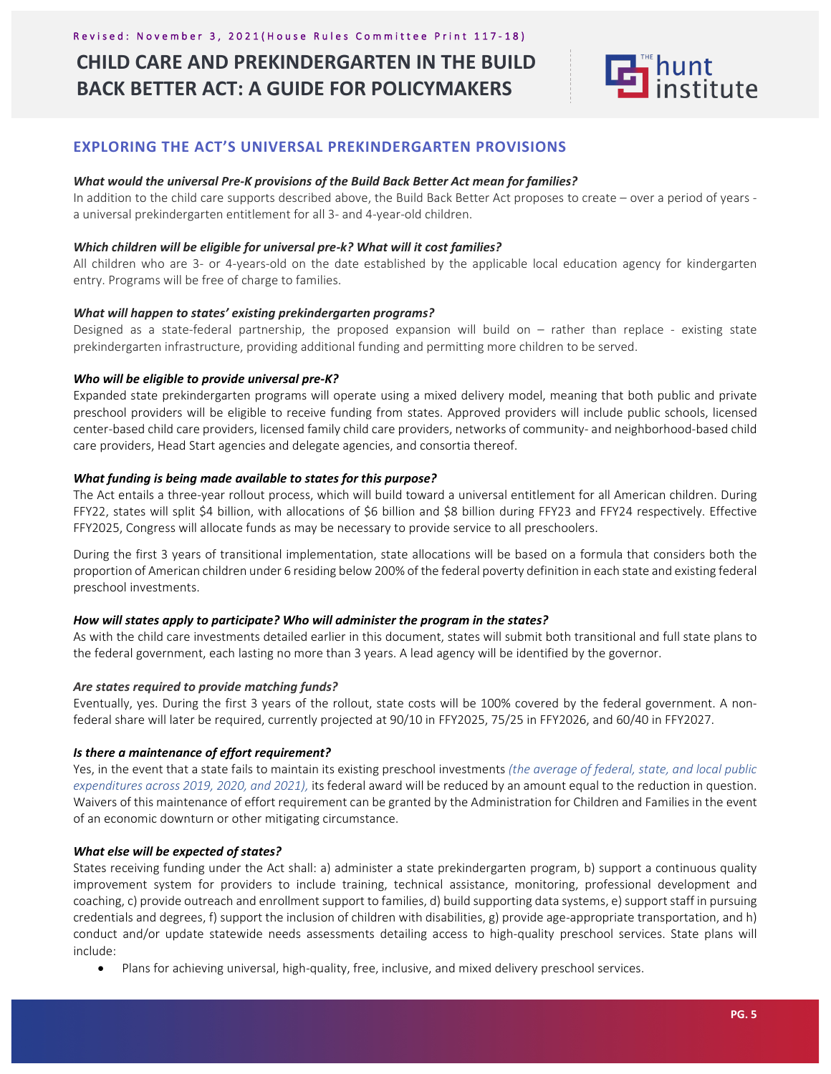## **CHILD CARE AND PREKINDERGARTEN IN THE BUILD BACK BETTER ACT: A GUIDE FOR POLICYMAKERS**



## **EXPLORING THE ACT'S UNIVERSAL PREKINDERGARTEN PROVISIONS**

#### *What would the universal Pre-K provisions of the Build Back Better Act mean for families?*

In addition to the child care supports described above, the Build Back Better Act proposes to create – over a period of years a universal prekindergarten entitlement for all 3- and 4-year-old children.

#### *Which children will be eligible for universal pre-k? What will it cost families?*

All children who are 3- or 4-years-old on the date established by the applicable local education agency for kindergarten entry. Programs will be free of charge to families.

#### *What will happen to states' existing prekindergarten programs?*

Designed as a state-federal partnership, the proposed expansion will build on – rather than replace - existing state prekindergarten infrastructure, providing additional funding and permitting more children to be served.

#### *Who will be eligible to provide universal pre-K?*

Expanded state prekindergarten programs will operate using a mixed delivery model, meaning that both public and private preschool providers will be eligible to receive funding from states. Approved providers will include public schools, licensed center-based child care providers, licensed family child care providers, networks of community- and neighborhood-based child care providers, Head Start agencies and delegate agencies, and consortia thereof.

#### *What funding is being made available to states for this purpose?*

The Act entails a three-year rollout process, which will build toward a universal entitlement for all American children. During FFY22, states will split \$4 billion, with allocations of \$6 billion and \$8 billion during FFY23 and FFY24 respectively. Effective FFY2025, Congress will allocate funds as may be necessary to provide service to all preschoolers.

During the first 3 years of transitional implementation, state allocations will be based on a formula that considers both the proportion of American children under 6 residing below 200% of the federal poverty definition in each state and existing federal preschool investments.

#### *How will states apply to participate? Who will administer the program in the states?*

As with the child care investments detailed earlier in this document, states will submit both transitional and full state plans to the federal government, each lasting no more than 3 years. A lead agency will be identified by the governor.

## *Are states required to provide matching funds?*

Eventually, yes. During the first 3 years of the rollout, state costs will be 100% covered by the federal government. A nonfederal share will later be required, currently projected at 90/10 in FFY2025, 75/25 in FFY2026, and 60/40 in FFY2027.

## *Is there a maintenance of effort requirement?*

Yes, in the event that a state fails to maintain its existing preschool investments *(the average of federal, state, and local public expenditures across 2019, 2020, and 2021),* its federal award will be reduced by an amount equal to the reduction in question. Waivers of this maintenance of effort requirement can be granted by the Administration for Children and Families in the event of an economic downturn or other mitigating circumstance.

## *What else will be expected of states?*

States receiving funding under the Act shall: a) administer a state prekindergarten program, b) support a continuous quality improvement system for providers to include training, technical assistance, monitoring, professional development and coaching, c) provide outreach and enrollment support to families, d) build supporting data systems, e) support staff in pursuing credentials and degrees, f) support the inclusion of children with disabilities, g) provide age-appropriate transportation, and h) conduct and/or update statewide needs assessments detailing access to high-quality preschool services. State plans will include:

• Plans for achieving universal, high-quality, free, inclusive, and mixed delivery preschool services.